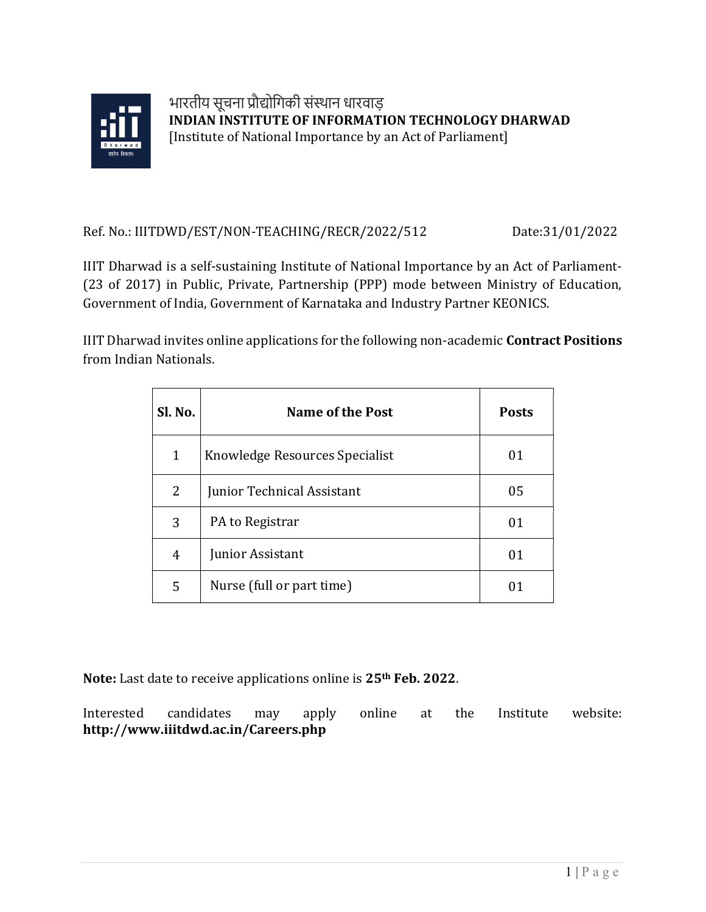

## Ref. No.: IIITDWD/EST/NON-TEACHING/RECR/2022/512 Date:31/01/2022

IIIT Dharwad is a self-sustaining Institute of National Importance by an Act of Parliament- (23 of 2017) in Public, Private, Partnership (PPP) mode between Ministry of Education, Government of India, Government of Karnataka and Industry Partner KEONICS.

IIIT Dharwad invites online applications for the following non-academic Contract Positions from Indian Nationals.

| Sl. No.      | <b>Name of the Post</b>        | <b>Posts</b> |
|--------------|--------------------------------|--------------|
| $\mathbf{1}$ | Knowledge Resources Specialist | 01           |
| 2            | Junior Technical Assistant     | 05           |
| 3            | PA to Registrar                | 01           |
| 4            | Junior Assistant               | 01           |
| 5            | Nurse (full or part time)      | 01           |

Note: Last date to receive applications online is 25<sup>th</sup> Feb. 2022.

Interested candidates may apply online at the Institute website: http://www.iiitdwd.ac.in/Careers.php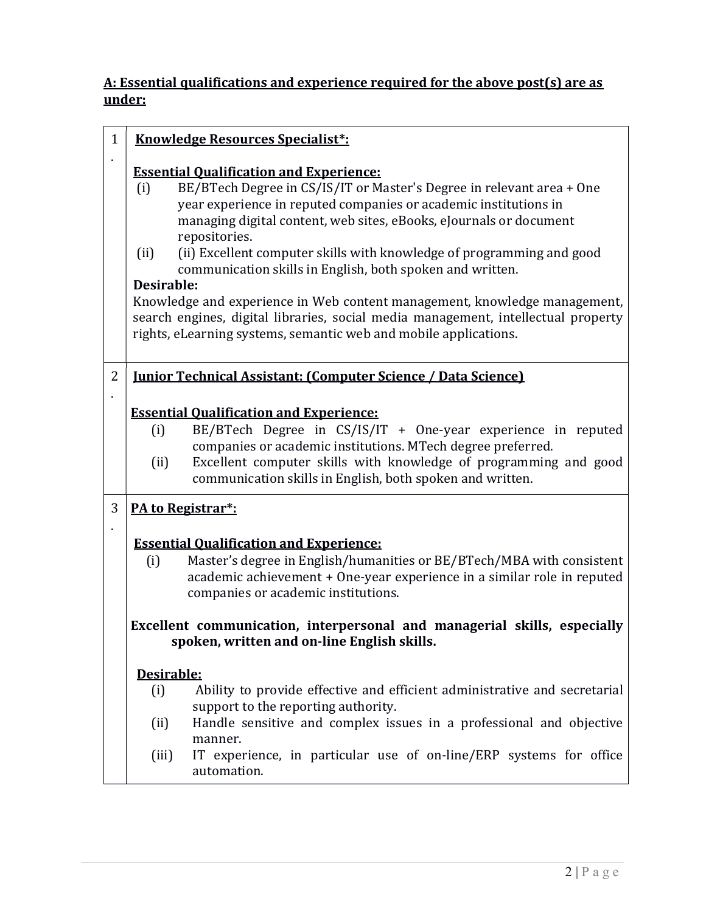## A: Essential qualifications and experience required for the above post(s) are as under:

| $\mathbf{1}$ | <b>Knowledge Resources Specialist*:</b>                                                                                                                                                                                                                                                                                                                                                                                                                                                                                                                                                                                                                                                     |
|--------------|---------------------------------------------------------------------------------------------------------------------------------------------------------------------------------------------------------------------------------------------------------------------------------------------------------------------------------------------------------------------------------------------------------------------------------------------------------------------------------------------------------------------------------------------------------------------------------------------------------------------------------------------------------------------------------------------|
|              | <b>Essential Qualification and Experience:</b><br>BE/BTech Degree in CS/IS/IT or Master's Degree in relevant area + One<br>(i)<br>year experience in reputed companies or academic institutions in<br>managing digital content, web sites, eBooks, eJournals or document<br>repositories.<br>(ii) Excellent computer skills with knowledge of programming and good<br>(ii)<br>communication skills in English, both spoken and written.<br>Desirable:<br>Knowledge and experience in Web content management, knowledge management,<br>search engines, digital libraries, social media management, intellectual property<br>rights, eLearning systems, semantic web and mobile applications. |
| 2            | <b>Iunior Technical Assistant: (Computer Science / Data Science)</b>                                                                                                                                                                                                                                                                                                                                                                                                                                                                                                                                                                                                                        |
|              | <b>Essential Qualification and Experience:</b><br>BE/BTech Degree in CS/IS/IT + One-year experience in reputed<br>(i)<br>companies or academic institutions. MTech degree preferred.<br>(ii)<br>Excellent computer skills with knowledge of programming and good<br>communication skills in English, both spoken and written.                                                                                                                                                                                                                                                                                                                                                               |
| 3            | PA to Registrar*:                                                                                                                                                                                                                                                                                                                                                                                                                                                                                                                                                                                                                                                                           |
|              | <b>Essential Qualification and Experience:</b><br>Master's degree in English/humanities or BE/BTech/MBA with consistent<br>(i)<br>academic achievement + One-year experience in a similar role in reputed<br>companies or academic institutions.                                                                                                                                                                                                                                                                                                                                                                                                                                            |
|              | Excellent communication, interpersonal and managerial skills, especially<br>spoken, written and on-line English skills.                                                                                                                                                                                                                                                                                                                                                                                                                                                                                                                                                                     |
|              | Desirable:                                                                                                                                                                                                                                                                                                                                                                                                                                                                                                                                                                                                                                                                                  |
|              | Ability to provide effective and efficient administrative and secretarial<br>(i)<br>support to the reporting authority.                                                                                                                                                                                                                                                                                                                                                                                                                                                                                                                                                                     |
|              | Handle sensitive and complex issues in a professional and objective<br>(ii)                                                                                                                                                                                                                                                                                                                                                                                                                                                                                                                                                                                                                 |
|              | manner.<br>IT experience, in particular use of on-line/ERP systems for office<br>(iii)<br>automation.                                                                                                                                                                                                                                                                                                                                                                                                                                                                                                                                                                                       |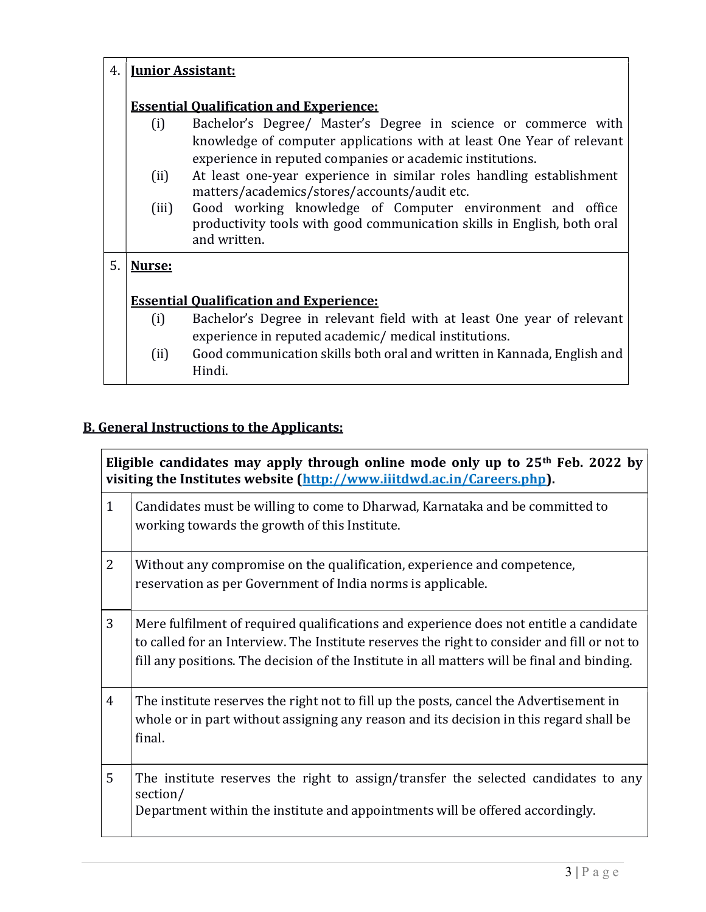| Bachelor's Degree/ Master's Degree in science or commerce with<br>knowledge of computer applications with at least One Year of relevant |
|-----------------------------------------------------------------------------------------------------------------------------------------|
| At least one-year experience in similar roles handling establishment                                                                    |
| Good working knowledge of Computer environment and office<br>productivity tools with good communication skills in English, both oral    |
|                                                                                                                                         |
|                                                                                                                                         |
| Bachelor's Degree in relevant field with at least One year of relevant                                                                  |
| Good communication skills both oral and written in Kannada, English and                                                                 |
|                                                                                                                                         |

## B. General Instructions to the Applicants:

| Eligible candidates may apply through online mode only up to 25 <sup>th</sup> Feb. 2022 by<br>visiting the Institutes website (http://www.iiitdwd.ac.in/Careers.php). |                                                                                                                                                                                                                                                                                      |  |
|-----------------------------------------------------------------------------------------------------------------------------------------------------------------------|--------------------------------------------------------------------------------------------------------------------------------------------------------------------------------------------------------------------------------------------------------------------------------------|--|
| $\mathbf{1}$                                                                                                                                                          | Candidates must be willing to come to Dharwad, Karnataka and be committed to<br>working towards the growth of this Institute.                                                                                                                                                        |  |
| $\overline{2}$                                                                                                                                                        | Without any compromise on the qualification, experience and competence,<br>reservation as per Government of India norms is applicable.                                                                                                                                               |  |
| 3                                                                                                                                                                     | Mere fulfilment of required qualifications and experience does not entitle a candidate<br>to called for an Interview. The Institute reserves the right to consider and fill or not to<br>fill any positions. The decision of the Institute in all matters will be final and binding. |  |
| $\overline{4}$                                                                                                                                                        | The institute reserves the right not to fill up the posts, cancel the Advertisement in<br>whole or in part without assigning any reason and its decision in this regard shall be<br>final.                                                                                           |  |
| 5                                                                                                                                                                     | The institute reserves the right to assign/transfer the selected candidates to any<br>section/<br>Department within the institute and appointments will be offered accordingly.                                                                                                      |  |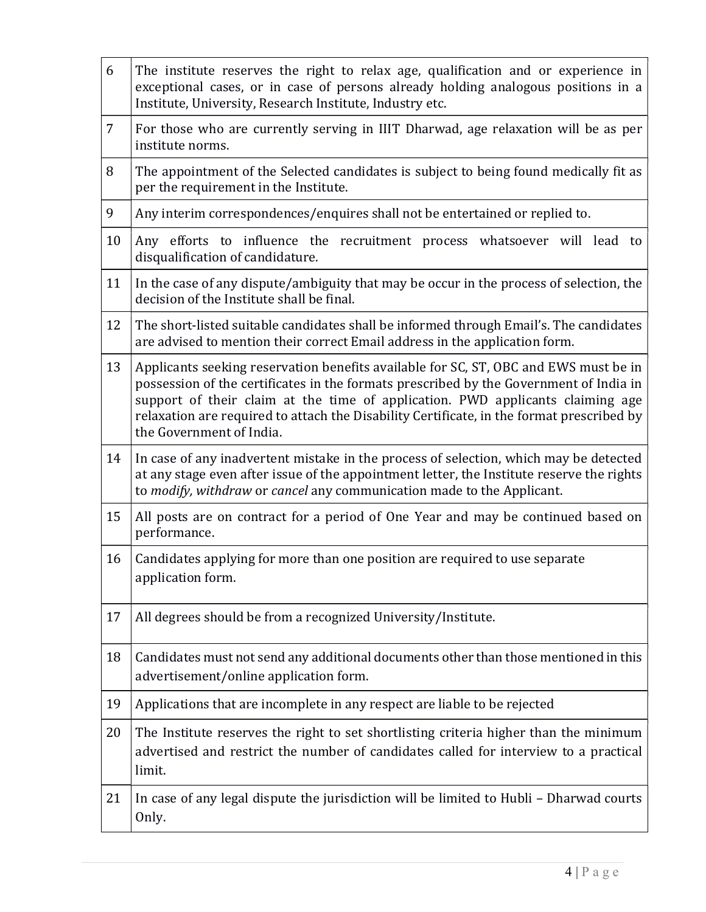| 6              | The institute reserves the right to relax age, qualification and or experience in<br>exceptional cases, or in case of persons already holding analogous positions in a<br>Institute, University, Research Institute, Industry etc.                                                                                                                                                        |
|----------------|-------------------------------------------------------------------------------------------------------------------------------------------------------------------------------------------------------------------------------------------------------------------------------------------------------------------------------------------------------------------------------------------|
| $\overline{7}$ | For those who are currently serving in IIIT Dharwad, age relaxation will be as per<br>institute norms.                                                                                                                                                                                                                                                                                    |
| 8              | The appointment of the Selected candidates is subject to being found medically fit as<br>per the requirement in the Institute.                                                                                                                                                                                                                                                            |
| 9              | Any interim correspondences/enquires shall not be entertained or replied to.                                                                                                                                                                                                                                                                                                              |
| 10             | Any efforts to influence the recruitment process whatsoever will lead to<br>disqualification of candidature.                                                                                                                                                                                                                                                                              |
| 11             | In the case of any dispute/ambiguity that may be occur in the process of selection, the<br>decision of the Institute shall be final.                                                                                                                                                                                                                                                      |
| 12             | The short-listed suitable candidates shall be informed through Email's. The candidates<br>are advised to mention their correct Email address in the application form.                                                                                                                                                                                                                     |
| 13             | Applicants seeking reservation benefits available for SC, ST, OBC and EWS must be in<br>possession of the certificates in the formats prescribed by the Government of India in<br>support of their claim at the time of application. PWD applicants claiming age<br>relaxation are required to attach the Disability Certificate, in the format prescribed by<br>the Government of India. |
| 14             | In case of any inadvertent mistake in the process of selection, which may be detected<br>at any stage even after issue of the appointment letter, the Institute reserve the rights<br>to modify, withdraw or cancel any communication made to the Applicant.                                                                                                                              |
| 15             | All posts are on contract for a period of One Year and may be continued based on<br>performance.                                                                                                                                                                                                                                                                                          |
| 16             | Candidates applying for more than one position are required to use separate<br>application form.                                                                                                                                                                                                                                                                                          |
| 17             | All degrees should be from a recognized University/Institute.                                                                                                                                                                                                                                                                                                                             |
| 18             | Candidates must not send any additional documents other than those mentioned in this<br>advertisement/online application form.                                                                                                                                                                                                                                                            |
| 19             | Applications that are incomplete in any respect are liable to be rejected                                                                                                                                                                                                                                                                                                                 |
| 20             | The Institute reserves the right to set shortlisting criteria higher than the minimum<br>advertised and restrict the number of candidates called for interview to a practical<br>limit.                                                                                                                                                                                                   |
| 21             | In case of any legal dispute the jurisdiction will be limited to Hubli - Dharwad courts<br>Only.                                                                                                                                                                                                                                                                                          |